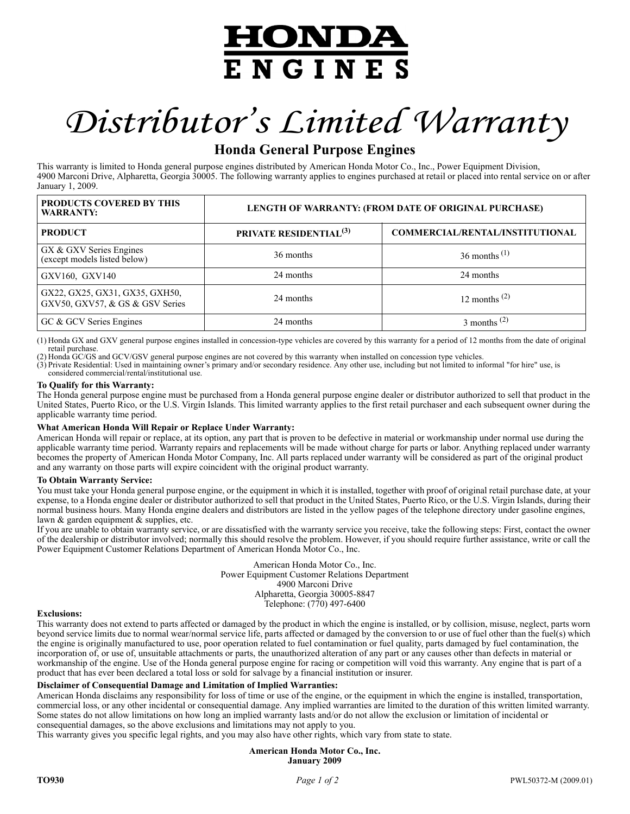## HONDA **ENGINES**

# *Distributor's Limited Warranty*

### **Honda General Purpose Engines**

This warranty is limited to Honda general purpose engines distributed by American Honda Motor Co., Inc., Power Equipment Division, 4900 Marconi Drive, Alpharetta, Georgia 30005. The following warranty applies to engines purchased at retail or placed into rental service on or after January 1, 2009.

| <b>PRODUCTS COVERED BY THIS</b><br><b>WARRANTY:</b>               | LENGTH OF WARRANTY: (FROM DATE OF ORIGINAL PURCHASE) |                                        |
|-------------------------------------------------------------------|------------------------------------------------------|----------------------------------------|
| <b>PRODUCT</b>                                                    | PRIVATE RESIDENTIAL <sup>(3)</sup>                   | <b>COMMERCIAL/RENTAL/INSTITUTIONAL</b> |
| GX & GXV Series Engines<br>(except models listed below)           | 36 months                                            | $36$ months <sup>(1)</sup>             |
| GXV160, GXV140                                                    | 24 months                                            | 24 months                              |
| GX22, GX25, GX31, GX35, GXH50,<br>GXV50, GXV57, & GS & GSV Series | 24 months                                            | 12 months $(2)$                        |
| GC & GCV Series Engines                                           | 24 months                                            | $3$ months <sup>(2)</sup>              |

(1) Honda GX and GXV general purpose engines installed in concession-type vehicles are covered by this warranty for a period of 12 months from the date of original retail purchase.

(2) Honda GC/GS and GCV/GSV general purpose engines are not covered by this warranty when installed on concession type vehicles.

(3) Private Residential: Used in maintaining owner's primary and/or secondary residence. Any other use, including but not limited to informal "for hire" use, is considered commercial/rental/institutional use.

### **To Qualify for this Warranty:**

The Honda general purpose engine must be purchased from a Honda general purpose engine dealer or distributor authorized to sell that product in the United States, Puerto Rico, or the U.S. Virgin Islands. This limited warranty applies to the first retail purchaser and each subsequent owner during the applicable warranty time period.

### **What American Honda Will Repair or Replace Under Warranty:**

American Honda will repair or replace, at its option, any part that is proven to be defective in material or workmanship under normal use during the applicable warranty time period. Warranty repairs and replacements will be made without charge for parts or labor. Anything replaced under warranty becomes the property of American Honda Motor Company, Inc. All parts replaced under warranty will be considered as part of the original product and any warranty on those parts will expire coincident with the original product warranty.

### **To Obtain Warranty Service:**

You must take your Honda general purpose engine, or the equipment in which it is installed, together with proof of original retail purchase date, at your expense, to a Honda engine dealer or distributor authorized to sell that product in the United States, Puerto Rico, or the U.S. Virgin Islands, during their normal business hours. Many Honda engine dealers and distributors are listed in the yellow pages of the telephone directory under gasoline engines, lawn & garden equipment & supplies, etc.

If you are unable to obtain warranty service, or are dissatisfied with the warranty service you receive, take the following steps: First, contact the owner of the dealership or distributor involved; normally this should resolve the problem. However, if you should require further assistance, write or call the Power Equipment Customer Relations Department of American Honda Motor Co., Inc.

> American Honda Motor Co., Inc. Power Equipment Customer Relations Department 4900 Marconi Drive Alpharetta, Georgia 30005-8847 Telephone: (770) 497-6400

### **Exclusions:**

This warranty does not extend to parts affected or damaged by the product in which the engine is installed, or by collision, misuse, neglect, parts worn beyond service limits due to normal wear/normal service life, parts affected or damaged by the conversion to or use of fuel other than the fuel(s) which the engine is originally manufactured to use, poor operation related to fuel contamination or fuel quality, parts damaged by fuel contamination, the incorporation of, or use of, unsuitable attachments or parts, the unauthorized alteration of any part or any causes other than defects in material or workmanship of the engine. Use of the Honda general purpose engine for racing or competition will void this warranty. Any engine that is part of a product that has ever been declared a total loss or sold for salvage by a financial institution or insurer.

### **Disclaimer of Consequential Damage and Limitation of Implied Warranties:**

American Honda disclaims any responsibility for loss of time or use of the engine, or the equipment in which the engine is installed, transportation, commercial loss, or any other incidental or consequential damage. Any implied warranties are limited to the duration of this written limited warranty. Some states do not allow limitations on how long an implied warranty lasts and/or do not allow the exclusion or limitation of incidental or consequential damages, so the above exclusions and limitations may not apply to you.

This warranty gives you specific legal rights, and you may also have other rights, which vary from state to state.

**American Honda Motor Co., Inc. January 2009**